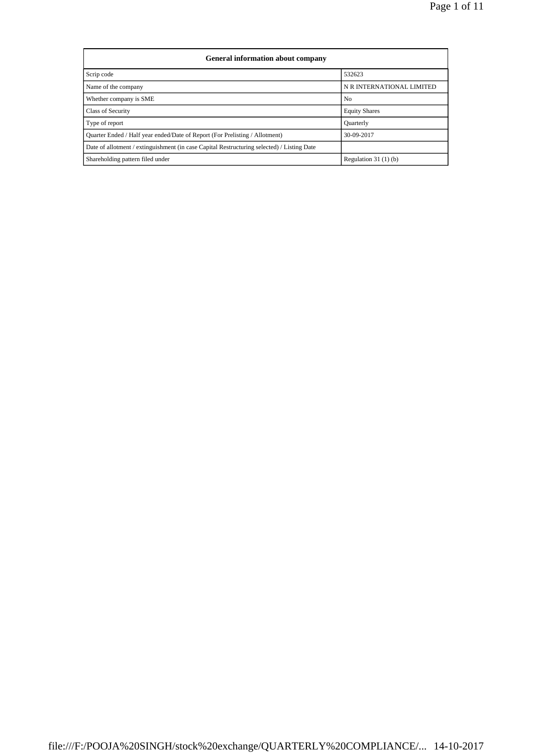| General information about company                                                          |                           |  |  |  |  |  |
|--------------------------------------------------------------------------------------------|---------------------------|--|--|--|--|--|
| Scrip code                                                                                 | 532623                    |  |  |  |  |  |
| Name of the company                                                                        | N R INTERNATIONAL LIMITED |  |  |  |  |  |
| Whether company is SME                                                                     | No                        |  |  |  |  |  |
| <b>Class of Security</b>                                                                   | <b>Equity Shares</b>      |  |  |  |  |  |
| Type of report                                                                             | <b>Quarterly</b>          |  |  |  |  |  |
| Quarter Ended / Half year ended/Date of Report (For Prelisting / Allotment)                | 30-09-2017                |  |  |  |  |  |
| Date of allotment / extinguishment (in case Capital Restructuring selected) / Listing Date |                           |  |  |  |  |  |
| Shareholding pattern filed under                                                           | Regulation $31(1)(b)$     |  |  |  |  |  |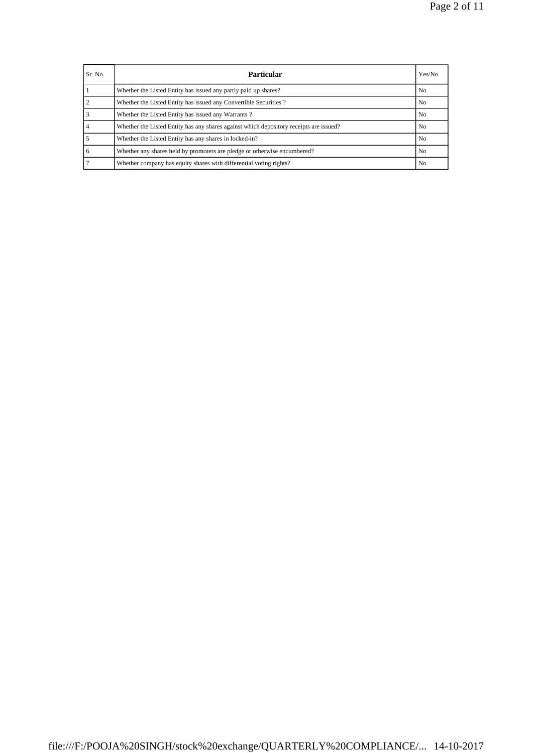| Sr. No. | <b>Particular</b>                                                                      | Yes/No         |
|---------|----------------------------------------------------------------------------------------|----------------|
|         | Whether the Listed Entity has issued any partly paid up shares?                        | N <sub>0</sub> |
|         | Whether the Listed Entity has issued any Convertible Securities?                       | N <sub>0</sub> |
|         | Whether the Listed Entity has issued any Warrants?                                     | N <sub>0</sub> |
|         | Whether the Listed Entity has any shares against which depository receipts are issued? | N <sub>0</sub> |
|         | Whether the Listed Entity has any shares in locked-in?                                 | N <sub>0</sub> |
|         | Whether any shares held by promoters are pledge or otherwise encumbered?               | N <sub>0</sub> |
|         | Whether company has equity shares with differential voting rights?                     | N <sub>0</sub> |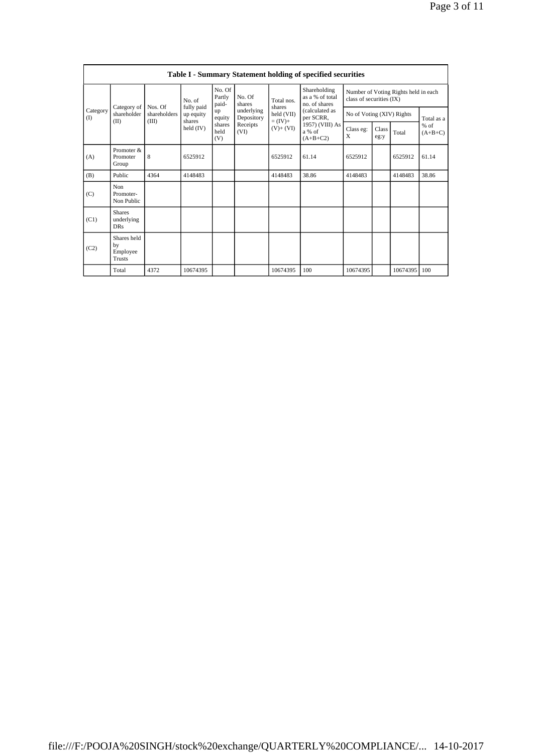| <b>Table I - Summary Statement holding of specified securities</b> |                                                |                         |                         |                                           |                          |                                                                |                                                                                                                            |                                                                  |               |              |                     |
|--------------------------------------------------------------------|------------------------------------------------|-------------------------|-------------------------|-------------------------------------------|--------------------------|----------------------------------------------------------------|----------------------------------------------------------------------------------------------------------------------------|------------------------------------------------------------------|---------------|--------------|---------------------|
| Category<br>(1)                                                    |                                                |                         | No. of                  | No. Of<br>Partly<br>paid-<br>up<br>equity | No. Of<br>shares         | Total nos.<br>shares<br>held (VII)<br>$= (IV) +$<br>$(V)+(VI)$ | Shareholding<br>as a % of total<br>no. of shares<br>(calculated as<br>per SCRR,<br>1957) (VIII) As<br>a % of<br>$(A+B+C2)$ | Number of Voting Rights held in each<br>class of securities (IX) |               |              |                     |
|                                                                    | Category of<br>shareholder                     | Nos. Of<br>shareholders | fully paid<br>up equity |                                           | underlying<br>Depository |                                                                |                                                                                                                            | No of Voting (XIV) Rights                                        |               |              | Total as a          |
|                                                                    | (II)                                           | (III)                   | shares<br>held $(IV)$   | shares<br>held<br>(V)                     | Receipts<br>(VI)         |                                                                |                                                                                                                            | Class eg:<br>X                                                   | Class<br>eg:y | Total        | $%$ of<br>$(A+B+C)$ |
| (A)                                                                | Promoter $\&$<br>Promoter<br>Group             | 8                       | 6525912                 |                                           |                          | 6525912                                                        | 61.14                                                                                                                      | 6525912                                                          |               | 6525912      | 61.14               |
| (B)                                                                | Public                                         | 4364                    | 4148483                 |                                           |                          | 4148483                                                        | 38.86                                                                                                                      | 4148483                                                          |               | 4148483      | 38.86               |
| (C)                                                                | <b>Non</b><br>Promoter-<br>Non Public          |                         |                         |                                           |                          |                                                                |                                                                                                                            |                                                                  |               |              |                     |
| (C1)                                                               | <b>Shares</b><br>underlying<br>DR <sub>S</sub> |                         |                         |                                           |                          |                                                                |                                                                                                                            |                                                                  |               |              |                     |
| (C2)                                                               | Shares held<br>by<br>Employee<br>Trusts        |                         |                         |                                           |                          |                                                                |                                                                                                                            |                                                                  |               |              |                     |
|                                                                    | Total                                          | 4372                    | 10674395                |                                           |                          | 10674395                                                       | 100                                                                                                                        | 10674395                                                         |               | 10674395 100 |                     |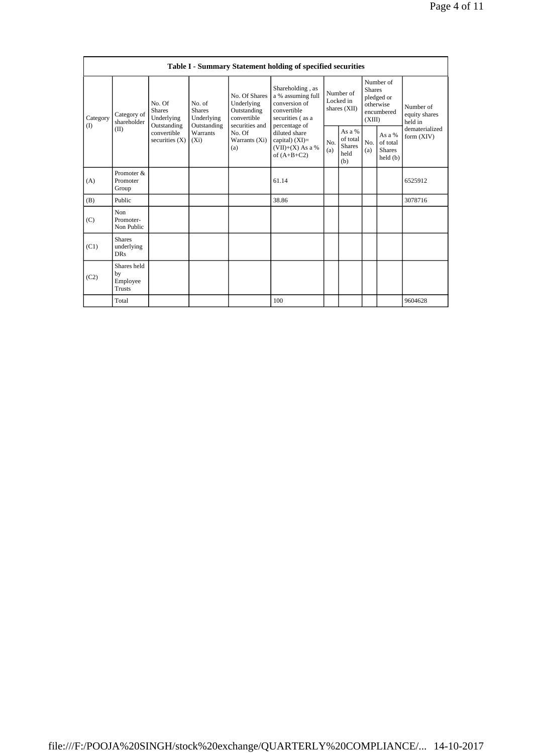| Table I - Summary Statement holding of specified securities |                                                |                                                                                         |                                       |                                                                                                               |                                                                                                            |                                        |                                                    |                                                                               |                                                |                                       |
|-------------------------------------------------------------|------------------------------------------------|-----------------------------------------------------------------------------------------|---------------------------------------|---------------------------------------------------------------------------------------------------------------|------------------------------------------------------------------------------------------------------------|----------------------------------------|----------------------------------------------------|-------------------------------------------------------------------------------|------------------------------------------------|---------------------------------------|
| Category<br>(1)                                             | Category of<br>shareholder<br>(II)             | No. Of<br><b>Shares</b><br>Underlying<br>Outstanding<br>convertible<br>securities $(X)$ | No. of<br><b>Shares</b><br>Underlying | No. Of Shares<br>Underlying<br>Outstanding<br>convertible<br>securities and<br>No. Of<br>Warrants (Xi)<br>(a) | Shareholding, as<br>a % assuming full<br>conversion of<br>convertible<br>securities (as a<br>percentage of | Number of<br>Locked in<br>shares (XII) |                                                    | Number of<br><b>Shares</b><br>pledged or<br>otherwise<br>encumbered<br>(XIII) |                                                | Number of<br>equity shares<br>held in |
|                                                             |                                                |                                                                                         | Outstanding<br>Warrants<br>$(X_i)$    |                                                                                                               | diluted share<br>capital) (XI)=<br>$(VII)+(X)$ As a %<br>of $(A+B+C2)$                                     | No.<br>(a)                             | As a %<br>of total<br><b>Shares</b><br>held<br>(b) | No.<br>(a)                                                                    | As a %<br>of total<br><b>Shares</b><br>held(b) | dematerialized<br>form (XIV)          |
| (A)                                                         | Promoter &<br>Promoter<br>Group                |                                                                                         |                                       |                                                                                                               | 61.14                                                                                                      |                                        |                                                    |                                                                               |                                                | 6525912                               |
| (B)                                                         | Public                                         |                                                                                         |                                       |                                                                                                               | 38.86                                                                                                      |                                        |                                                    |                                                                               |                                                | 3078716                               |
| (C)                                                         | Non<br>Promoter-<br>Non Public                 |                                                                                         |                                       |                                                                                                               |                                                                                                            |                                        |                                                    |                                                                               |                                                |                                       |
| (C1)                                                        | <b>Shares</b><br>underlying<br><b>DRs</b>      |                                                                                         |                                       |                                                                                                               |                                                                                                            |                                        |                                                    |                                                                               |                                                |                                       |
| (C2)                                                        | Shares held<br>by<br>Employee<br><b>Trusts</b> |                                                                                         |                                       |                                                                                                               |                                                                                                            |                                        |                                                    |                                                                               |                                                |                                       |
|                                                             | Total                                          |                                                                                         |                                       |                                                                                                               | 100                                                                                                        |                                        |                                                    |                                                                               |                                                | 9604628                               |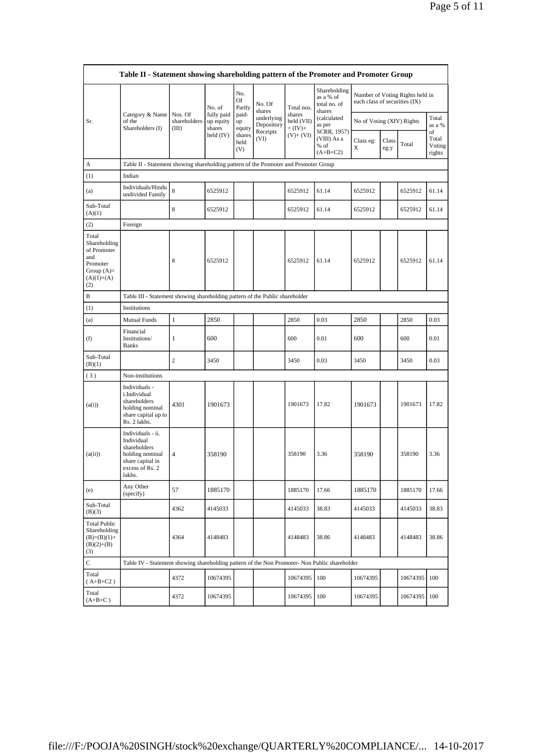| Table II - Statement showing shareholding pattern of the Promoter and Promoter Group           |                                                                                                                     |                                  |                                   |                       |                                              |                                                  |                                                                              |                               |               |                                 |                                 |
|------------------------------------------------------------------------------------------------|---------------------------------------------------------------------------------------------------------------------|----------------------------------|-----------------------------------|-----------------------|----------------------------------------------|--------------------------------------------------|------------------------------------------------------------------------------|-------------------------------|---------------|---------------------------------|---------------------------------|
|                                                                                                |                                                                                                                     |                                  | No. of                            | No.<br>Of<br>Partly   | No. Of<br>shares<br>underlying<br>Depository | Total nos.<br>shares<br>held (VII)<br>$= (IV) +$ | Shareholding<br>as a % of<br>total no. of<br>shares<br>(calculated<br>as per | each class of securities (IX) |               | Number of Voting Rights held in |                                 |
| Sr.                                                                                            | Category & Name<br>of the<br>Shareholders (I)                                                                       | Nos. Of<br>shareholders<br>(III) | fully paid<br>up equity<br>shares | paid-<br>up<br>equity |                                              |                                                  |                                                                              | No of Voting (XIV) Rights     |               |                                 | Total<br>as a %                 |
|                                                                                                |                                                                                                                     |                                  | held (IV)                         | shares<br>held<br>(V) | Receipts<br>(VI)                             | $(V)+(VI)$                                       | SCRR, 1957)<br>(VIII) As a<br>% of<br>$(A+B+C2)$                             | Class eg:<br>X                | Class<br>eg:y | Total                           | of<br>Total<br>Voting<br>rights |
| A                                                                                              | Table II - Statement showing shareholding pattern of the Promoter and Promoter Group                                |                                  |                                   |                       |                                              |                                                  |                                                                              |                               |               |                                 |                                 |
| (1)                                                                                            | Indian                                                                                                              |                                  |                                   |                       |                                              |                                                  |                                                                              |                               |               |                                 |                                 |
| (a)                                                                                            | Individuals/Hindu<br>undivided Family                                                                               | 8                                | 6525912                           |                       |                                              | 6525912                                          | 61.14                                                                        | 6525912                       |               | 6525912                         | 61.14                           |
| Sub-Total<br>(A)(1)                                                                            |                                                                                                                     | 8                                | 6525912                           |                       |                                              | 6525912                                          | 61.14                                                                        | 6525912                       |               | 6525912                         | 61.14                           |
| (2)                                                                                            | Foreign                                                                                                             |                                  |                                   |                       |                                              |                                                  |                                                                              |                               |               |                                 |                                 |
| Total<br>Shareholding<br>of Promoter<br>and<br>Promoter<br>Group $(A)=$<br>$(A)(1)+(A)$<br>(2) |                                                                                                                     | 8                                | 6525912                           |                       |                                              | 6525912                                          | 61.14                                                                        | 6525912                       |               | 6525912                         | 61.14                           |
| B                                                                                              | Table III - Statement showing shareholding pattern of the Public shareholder                                        |                                  |                                   |                       |                                              |                                                  |                                                                              |                               |               |                                 |                                 |
| (1)                                                                                            | Institutions                                                                                                        |                                  |                                   |                       |                                              |                                                  |                                                                              |                               |               |                                 |                                 |
| (a)                                                                                            | <b>Mutual Funds</b>                                                                                                 | $\mathbf{1}$                     | 2850                              |                       |                                              | 2850                                             | 0.03                                                                         | 2850                          |               | 2850                            | 0.03                            |
| (f)                                                                                            | Financial<br>Institutions/<br><b>Banks</b>                                                                          | 1                                | 600                               |                       |                                              | 600                                              | 0.01                                                                         | 600                           |               | 600                             | 0.01                            |
| Sub-Total<br>(B)(1)                                                                            |                                                                                                                     | $\overline{c}$                   | 3450                              |                       |                                              | 3450                                             | 0.03                                                                         | 3450                          |               | 3450                            | 0.03                            |
| (3)                                                                                            | Non-institutions                                                                                                    |                                  |                                   |                       |                                              |                                                  |                                                                              |                               |               |                                 |                                 |
| (a(i))                                                                                         | Individuals -<br>i.Individual<br>shareholders<br>holding nominal<br>share capital up to<br>Rs. 2 lakhs.             | 4301                             | 1901673                           |                       |                                              | 1901673                                          | 17.82                                                                        | 1901673                       |               | 1901673                         | 17.82                           |
| (a(ii))                                                                                        | Individuals - ii.<br>Individual<br>shareholders<br>holding nominal<br>share capital in<br>excess of Rs. 2<br>lakhs. | 4                                | 358190                            |                       |                                              | 358190                                           | 3.36                                                                         | 358190                        |               | 358190                          | 3.36                            |
| (e)                                                                                            | Any Other<br>(specify)                                                                                              | 57                               | 1885170                           |                       |                                              | 1885170                                          | 17.66                                                                        | 1885170                       |               | 1885170                         | 17.66                           |
| Sub-Total<br>(B)(3)                                                                            |                                                                                                                     | 4362                             | 4145033                           |                       |                                              | 4145033                                          | 38.83                                                                        | 4145033                       |               | 4145033                         | 38.83                           |
| <b>Total Public</b><br>Shareholding<br>$(B)=(B)(1)+$<br>$(B)(2)+(B)$<br>(3)                    |                                                                                                                     | 4364                             | 4148483                           |                       |                                              | 4148483                                          | 38.86                                                                        | 4148483                       |               | 4148483                         | 38.86                           |
| C                                                                                              | Table IV - Statement showing shareholding pattern of the Non Promoter- Non Public shareholder                       |                                  |                                   |                       |                                              |                                                  |                                                                              |                               |               |                                 |                                 |
| Total<br>$(A+B+C2)$                                                                            |                                                                                                                     | 4372                             | 10674395                          |                       |                                              | 10674395                                         | 100                                                                          | 10674395                      |               | 10674395 100                    |                                 |
| Total<br>$(A+B+C)$                                                                             |                                                                                                                     | 4372                             | 10674395                          |                       |                                              | 10674395   100                                   |                                                                              | 10674395                      |               | 10674395 100                    |                                 |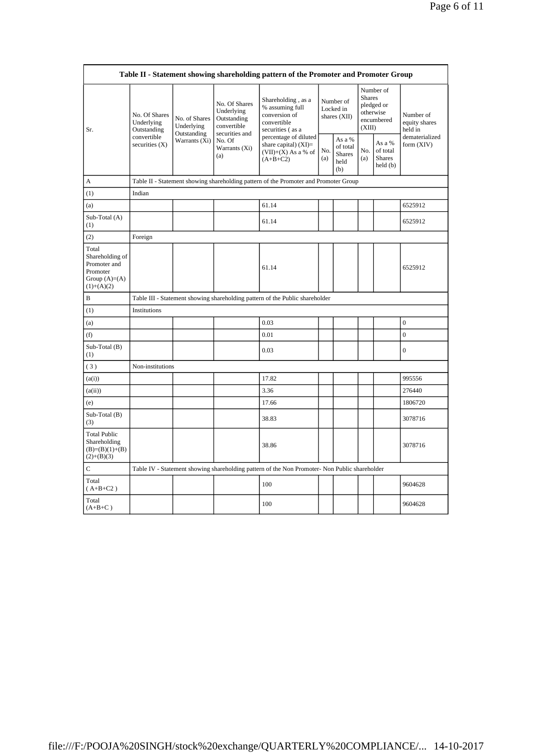| Table II - Statement showing shareholding pattern of the Promoter and Promoter Group   |                                            |                                                             |                                                                                                               |                                                                                               |                                        |                                                    |                                                                               |                                                |                                       |
|----------------------------------------------------------------------------------------|--------------------------------------------|-------------------------------------------------------------|---------------------------------------------------------------------------------------------------------------|-----------------------------------------------------------------------------------------------|----------------------------------------|----------------------------------------------------|-------------------------------------------------------------------------------|------------------------------------------------|---------------------------------------|
| Sr.                                                                                    | No. Of Shares<br>Underlying<br>Outstanding | No. of Shares<br>Underlying<br>Outstanding<br>Warrants (Xi) | No. Of Shares<br>Underlying<br>Outstanding<br>convertible<br>securities and<br>No. Of<br>Warrants (Xi)<br>(a) | Shareholding, as a<br>% assuming full<br>conversion of<br>convertible<br>securities (as a     | Number of<br>Locked in<br>shares (XII) |                                                    | Number of<br><b>Shares</b><br>pledged or<br>otherwise<br>encumbered<br>(XIII) |                                                | Number of<br>equity shares<br>held in |
|                                                                                        | convertible<br>securities (X)              |                                                             |                                                                                                               | percentage of diluted<br>share capital) $(XI)$ =<br>$(VII)+(X)$ As a % of<br>$(A+B+C2)$       | No.<br>(a)                             | As a %<br>of total<br><b>Shares</b><br>held<br>(b) | No.<br>(a)                                                                    | As a %<br>of total<br><b>Shares</b><br>held(b) | dematerialized<br>form (XIV)          |
| A                                                                                      |                                            |                                                             |                                                                                                               | Table II - Statement showing shareholding pattern of the Promoter and Promoter Group          |                                        |                                                    |                                                                               |                                                |                                       |
| (1)                                                                                    | Indian                                     |                                                             |                                                                                                               |                                                                                               |                                        |                                                    |                                                                               |                                                |                                       |
| (a)                                                                                    |                                            |                                                             |                                                                                                               | 61.14                                                                                         |                                        |                                                    |                                                                               |                                                | 6525912                               |
| Sub-Total (A)<br>(1)                                                                   |                                            |                                                             |                                                                                                               | 61.14                                                                                         |                                        |                                                    |                                                                               |                                                | 6525912                               |
| (2)                                                                                    | Foreign                                    |                                                             |                                                                                                               |                                                                                               |                                        |                                                    |                                                                               |                                                |                                       |
| Total<br>Shareholding of<br>Promoter and<br>Promoter<br>Group $(A)=A)$<br>$(1)+(A)(2)$ |                                            |                                                             |                                                                                                               | 61.14                                                                                         |                                        |                                                    |                                                                               |                                                | 6525912                               |
| B                                                                                      |                                            |                                                             |                                                                                                               | Table III - Statement showing shareholding pattern of the Public shareholder                  |                                        |                                                    |                                                                               |                                                |                                       |
| (1)                                                                                    | Institutions                               |                                                             |                                                                                                               |                                                                                               |                                        |                                                    |                                                                               |                                                |                                       |
| (a)                                                                                    |                                            |                                                             |                                                                                                               | 0.03                                                                                          |                                        |                                                    |                                                                               |                                                | $\boldsymbol{0}$                      |
| (f)                                                                                    |                                            |                                                             |                                                                                                               | 0.01                                                                                          |                                        |                                                    |                                                                               |                                                | $\overline{0}$                        |
| Sub-Total (B)<br>(1)                                                                   |                                            |                                                             |                                                                                                               | 0.03                                                                                          |                                        |                                                    |                                                                               |                                                | $\boldsymbol{0}$                      |
| (3)                                                                                    | Non-institutions                           |                                                             |                                                                                                               |                                                                                               |                                        |                                                    |                                                                               |                                                |                                       |
| (a(i))                                                                                 |                                            |                                                             |                                                                                                               | 17.82                                                                                         |                                        |                                                    |                                                                               |                                                | 995556                                |
| (a(ii))                                                                                |                                            |                                                             |                                                                                                               | 3.36                                                                                          |                                        |                                                    |                                                                               |                                                | 276440                                |
| (e)                                                                                    |                                            |                                                             |                                                                                                               | 17.66                                                                                         |                                        |                                                    |                                                                               |                                                | 1806720                               |
| Sub-Total (B)<br>(3)                                                                   |                                            |                                                             |                                                                                                               | 38.83                                                                                         |                                        |                                                    |                                                                               |                                                | 3078716                               |
| <b>Total Public</b><br>Shareholding<br>$(B)=(B)(1)+(B)$<br>$(2)+(B)(3)$                |                                            |                                                             |                                                                                                               | 38.86                                                                                         |                                        |                                                    |                                                                               |                                                | 3078716                               |
| C                                                                                      |                                            |                                                             |                                                                                                               | Table IV - Statement showing shareholding pattern of the Non Promoter- Non Public shareholder |                                        |                                                    |                                                                               |                                                |                                       |
| Total<br>$(A+B+C2)$                                                                    |                                            |                                                             |                                                                                                               | 100                                                                                           |                                        |                                                    |                                                                               |                                                | 9604628                               |
| Total<br>$(A+B+C)$                                                                     |                                            |                                                             |                                                                                                               | 100                                                                                           |                                        |                                                    |                                                                               |                                                | 9604628                               |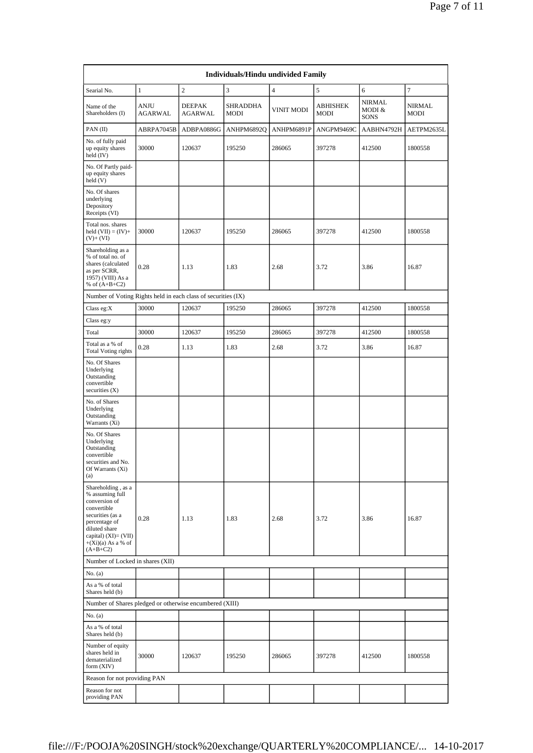| <b>Individuals/Hindu undivided Family</b>                                                                                                                                                    |                               |                          |                                |                   |                         |                                 |                       |  |  |
|----------------------------------------------------------------------------------------------------------------------------------------------------------------------------------------------|-------------------------------|--------------------------|--------------------------------|-------------------|-------------------------|---------------------------------|-----------------------|--|--|
| Searial No.                                                                                                                                                                                  | $\mathbf{1}$                  | $\boldsymbol{2}$         | 3                              | $\overline{4}$    | 5                       | 6                               | 7                     |  |  |
| Name of the<br>Shareholders (I)                                                                                                                                                              | <b>ANJU</b><br><b>AGARWAL</b> | <b>DEEPAK</b><br>AGARWAL | <b>SHRADDHA</b><br><b>MODI</b> | <b>VINIT MODI</b> | <b>ABHISHEK</b><br>MODI | NIRMAL<br>MODI &<br><b>SONS</b> | <b>NIRMAL</b><br>MODI |  |  |
| PAN(II)                                                                                                                                                                                      | ABRPA7045B                    | ADBPA0886G               | ANHPM6892Q                     | ANHPM6891P        | ANGPM9469C              | AABHN4792H                      | AETPM2635L            |  |  |
| No. of fully paid<br>up equity shares<br>held (IV)                                                                                                                                           | 30000                         | 120637                   | 195250                         | 286065            | 397278                  | 412500                          | 1800558               |  |  |
| No. Of Partly paid-<br>up equity shares<br>held (V)                                                                                                                                          |                               |                          |                                |                   |                         |                                 |                       |  |  |
| No. Of shares<br>underlying<br>Depository<br>Receipts (VI)                                                                                                                                   |                               |                          |                                |                   |                         |                                 |                       |  |  |
| Total nos. shares<br>held $(VII) = (IV) +$<br>$(V)+(VI)$                                                                                                                                     | 30000                         | 120637                   | 195250                         | 286065            | 397278                  | 412500                          | 1800558               |  |  |
| Shareholding as a<br>% of total no. of<br>shares (calculated<br>as per SCRR,<br>1957) (VIII) As a<br>% of $(A+B+C2)$                                                                         | 0.28                          | 1.13                     | 1.83                           | 2.68              | 3.72                    | 3.86                            | 16.87                 |  |  |
| Number of Voting Rights held in each class of securities (IX)                                                                                                                                |                               |                          |                                |                   |                         |                                 |                       |  |  |
| Class eg:X                                                                                                                                                                                   | 30000                         | 120637                   | 195250                         | 286065            | 397278                  | 412500                          | 1800558               |  |  |
| Class eg:y                                                                                                                                                                                   |                               |                          |                                |                   |                         |                                 |                       |  |  |
| Total                                                                                                                                                                                        | 30000                         | 120637                   | 195250                         | 286065            | 397278                  | 412500                          | 1800558               |  |  |
| Total as a % of<br><b>Total Voting rights</b>                                                                                                                                                | 0.28                          | 1.13                     | 1.83                           | 2.68              | 3.72                    | 3.86                            | 16.87                 |  |  |
| No. Of Shares<br>Underlying<br>Outstanding<br>convertible<br>securities $(X)$                                                                                                                |                               |                          |                                |                   |                         |                                 |                       |  |  |
| No. of Shares<br>Underlying<br>Outstanding<br>Warrants (Xi)                                                                                                                                  |                               |                          |                                |                   |                         |                                 |                       |  |  |
| No. Of Shares<br>Underlying<br>Outstanding<br>convertible<br>securities and No.<br>Of Warrants (Xi)<br>(a)                                                                                   |                               |                          |                                |                   |                         |                                 |                       |  |  |
| Shareholding, as a<br>% assuming full<br>conversion of<br>convertible<br>securities (as a<br>percentage of<br>diluted share<br>capital) $(XI) = (VII)$<br>$+(Xi)(a)$ As a % of<br>$(A+B+C2)$ | 0.28                          | 1.13                     | 1.83                           | 2.68              | 3.72                    | 3.86                            | 16.87                 |  |  |
| Number of Locked in shares (XII)                                                                                                                                                             |                               |                          |                                |                   |                         |                                 |                       |  |  |
| No. (a)                                                                                                                                                                                      |                               |                          |                                |                   |                         |                                 |                       |  |  |
| As a % of total<br>Shares held (b)                                                                                                                                                           |                               |                          |                                |                   |                         |                                 |                       |  |  |
| Number of Shares pledged or otherwise encumbered (XIII)                                                                                                                                      |                               |                          |                                |                   |                         |                                 |                       |  |  |
| No. (a)                                                                                                                                                                                      |                               |                          |                                |                   |                         |                                 |                       |  |  |
| As a % of total<br>Shares held (b)                                                                                                                                                           |                               |                          |                                |                   |                         |                                 |                       |  |  |
| Number of equity<br>shares held in<br>dematerialized<br>form (XIV)                                                                                                                           | 30000                         | 120637                   | 195250                         | 286065            | 397278                  | 412500                          | 1800558               |  |  |
| Reason for not providing PAN                                                                                                                                                                 |                               |                          |                                |                   |                         |                                 |                       |  |  |
| Reason for not<br>providing PAN                                                                                                                                                              |                               |                          |                                |                   |                         |                                 |                       |  |  |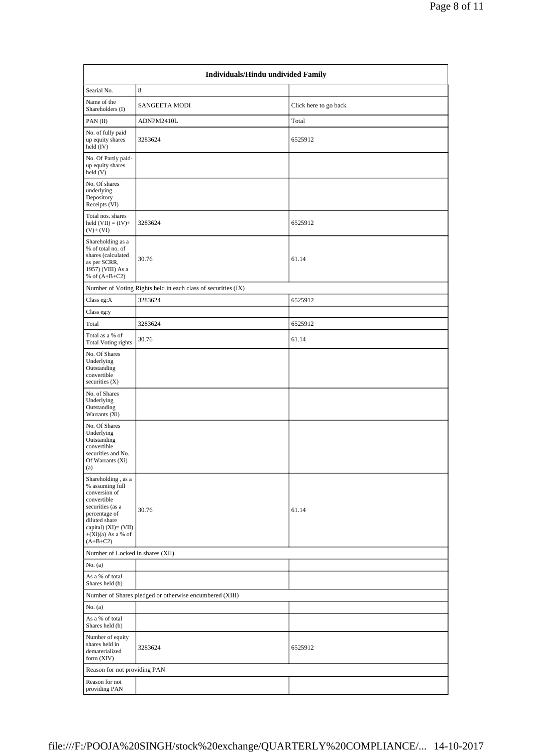| <b>Individuals/Hindu undivided Family</b>                                                                                                                                                 |                                                               |                       |  |  |  |  |  |
|-------------------------------------------------------------------------------------------------------------------------------------------------------------------------------------------|---------------------------------------------------------------|-----------------------|--|--|--|--|--|
| Searial No.                                                                                                                                                                               | 8                                                             |                       |  |  |  |  |  |
| Name of the<br>Shareholders (I)                                                                                                                                                           | SANGEETA MODI                                                 | Click here to go back |  |  |  |  |  |
| PAN(II)                                                                                                                                                                                   | ADNPM2410L                                                    | Total                 |  |  |  |  |  |
| No. of fully paid<br>up equity shares<br>held (IV)                                                                                                                                        | 3283624                                                       | 6525912               |  |  |  |  |  |
| No. Of Partly paid-<br>up equity shares<br>held (V)                                                                                                                                       |                                                               |                       |  |  |  |  |  |
| No. Of shares<br>underlying<br>Depository<br>Receipts (VI)                                                                                                                                |                                                               |                       |  |  |  |  |  |
| Total nos. shares<br>held $(VII) = (IV) +$<br>$(V)+(VI)$                                                                                                                                  | 3283624                                                       | 6525912               |  |  |  |  |  |
| Shareholding as a<br>% of total no. of<br>shares (calculated<br>as per SCRR,<br>1957) (VIII) As a<br>% of $(A+B+C2)$                                                                      | 30.76                                                         | 61.14                 |  |  |  |  |  |
|                                                                                                                                                                                           | Number of Voting Rights held in each class of securities (IX) |                       |  |  |  |  |  |
| Class eg:X                                                                                                                                                                                | 3283624                                                       | 6525912               |  |  |  |  |  |
| Class eg:y                                                                                                                                                                                |                                                               |                       |  |  |  |  |  |
| Total                                                                                                                                                                                     | 3283624                                                       | 6525912               |  |  |  |  |  |
| Total as a % of<br><b>Total Voting rights</b>                                                                                                                                             | 30.76                                                         | 61.14                 |  |  |  |  |  |
| No. Of Shares<br>Underlying<br>Outstanding<br>convertible<br>securities (X)                                                                                                               |                                                               |                       |  |  |  |  |  |
| No. of Shares<br>Underlying<br>Outstanding<br>Warrants (Xi)                                                                                                                               |                                                               |                       |  |  |  |  |  |
| No. Of Shares<br>Underlying<br>Outstanding<br>convertible<br>securities and No.<br>Of Warrants (Xi)<br>(a)                                                                                |                                                               |                       |  |  |  |  |  |
| Shareholding, as a<br>% assuming full<br>conversion of<br>convertible<br>securities (as a<br>percentage of<br>diluted share<br>capital) (XI)= (VII)<br>$+(Xi)(a)$ As a % of<br>$(A+B+C2)$ | 30.76                                                         | 61.14                 |  |  |  |  |  |
| Number of Locked in shares (XII)                                                                                                                                                          |                                                               |                       |  |  |  |  |  |
| No. (a)                                                                                                                                                                                   |                                                               |                       |  |  |  |  |  |
| As a % of total<br>Shares held (b)                                                                                                                                                        |                                                               |                       |  |  |  |  |  |
|                                                                                                                                                                                           | Number of Shares pledged or otherwise encumbered (XIII)       |                       |  |  |  |  |  |
| No. (a)                                                                                                                                                                                   |                                                               |                       |  |  |  |  |  |
| As a % of total<br>Shares held (b)                                                                                                                                                        |                                                               |                       |  |  |  |  |  |
| Number of equity<br>shares held in<br>dematerialized<br>form (XIV)                                                                                                                        | 3283624                                                       | 6525912               |  |  |  |  |  |
| Reason for not providing PAN                                                                                                                                                              |                                                               |                       |  |  |  |  |  |
| Reason for not<br>providing PAN                                                                                                                                                           |                                                               |                       |  |  |  |  |  |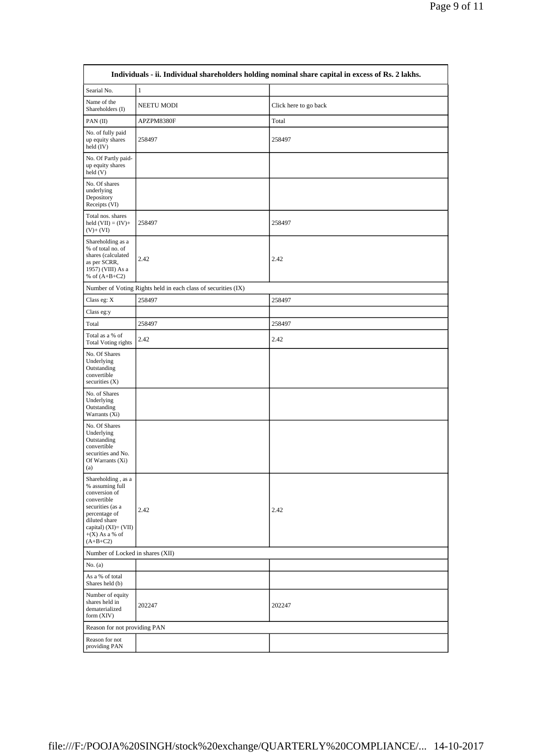| Individuals - ii. Individual shareholders holding nominal share capital in excess of Rs. 2 lakhs.                                                                                     |                                                               |                       |  |  |  |  |  |
|---------------------------------------------------------------------------------------------------------------------------------------------------------------------------------------|---------------------------------------------------------------|-----------------------|--|--|--|--|--|
| Searial No.                                                                                                                                                                           | $\mathbf{1}$                                                  |                       |  |  |  |  |  |
| Name of the<br>Shareholders (I)                                                                                                                                                       | NEETU MODI                                                    | Click here to go back |  |  |  |  |  |
| $PAN$ (II)                                                                                                                                                                            | APZPM8380F                                                    | Total                 |  |  |  |  |  |
| No. of fully paid<br>up equity shares<br>held $(IV)$                                                                                                                                  | 258497                                                        | 258497                |  |  |  |  |  |
| No. Of Partly paid-<br>up equity shares<br>$\text{held}(\text{V})$                                                                                                                    |                                                               |                       |  |  |  |  |  |
| No. Of shares<br>underlying<br>Depository<br>Receipts (VI)                                                                                                                            |                                                               |                       |  |  |  |  |  |
| Total nos. shares<br>held $(VII) = (IV) +$<br>$(V)+(VI)$                                                                                                                              | 258497                                                        | 258497                |  |  |  |  |  |
| Shareholding as a<br>% of total no. of<br>shares (calculated<br>as per SCRR,<br>1957) (VIII) As a<br>% of $(A+B+C2)$                                                                  | 2.42                                                          | 2.42                  |  |  |  |  |  |
|                                                                                                                                                                                       | Number of Voting Rights held in each class of securities (IX) |                       |  |  |  |  |  |
| Class eg: X                                                                                                                                                                           | 258497                                                        | 258497                |  |  |  |  |  |
| Class eg:y                                                                                                                                                                            |                                                               |                       |  |  |  |  |  |
| Total                                                                                                                                                                                 | 258497                                                        | 258497                |  |  |  |  |  |
| Total as a % of<br>Total Voting rights                                                                                                                                                | 2.42                                                          | 2.42                  |  |  |  |  |  |
| No. Of Shares<br>Underlying<br>Outstanding<br>convertible<br>securities $(X)$                                                                                                         |                                                               |                       |  |  |  |  |  |
| No. of Shares<br>Underlying<br>Outstanding<br>Warrants (Xi)                                                                                                                           |                                                               |                       |  |  |  |  |  |
| No. Of Shares<br>Underlying<br>Outstanding<br>convertible<br>securities and No.<br>Of Warrants (Xi)<br>(a)                                                                            |                                                               |                       |  |  |  |  |  |
| Shareholding, as a<br>% assuming full<br>conversion of<br>convertible<br>securities (as a<br>percentage of<br>diluted share<br>capital) (XI)= (VII)<br>$+(X)$ As a % of<br>$(A+B+C2)$ | 2.42                                                          | 2.42                  |  |  |  |  |  |
|                                                                                                                                                                                       | Number of Locked in shares (XII)                              |                       |  |  |  |  |  |
| No. $(a)$                                                                                                                                                                             |                                                               |                       |  |  |  |  |  |
| As a % of total<br>Shares held (b)                                                                                                                                                    |                                                               |                       |  |  |  |  |  |
| Number of equity<br>shares held in<br>dematerialized<br>form (XIV)                                                                                                                    | 202247                                                        | 202247                |  |  |  |  |  |
| Reason for not providing PAN                                                                                                                                                          |                                                               |                       |  |  |  |  |  |
| Reason for not<br>providing PAN                                                                                                                                                       |                                                               |                       |  |  |  |  |  |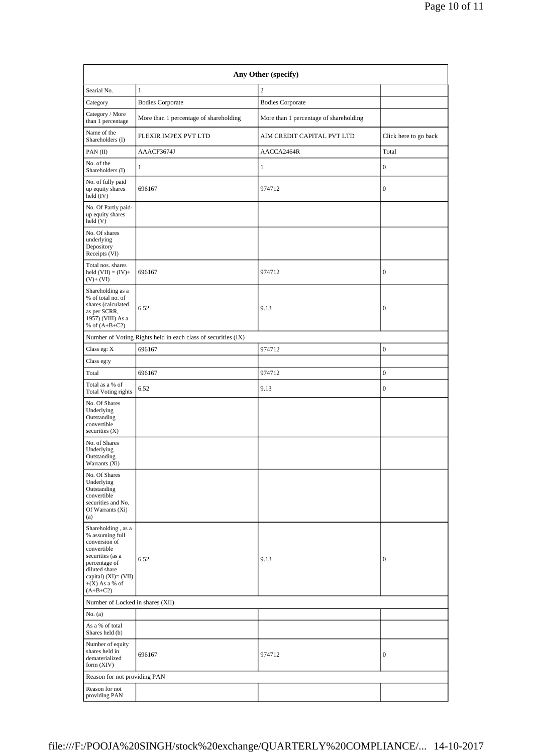| Any Other (specify)                                                                                                                                                                      |                                                               |                                        |                       |  |  |  |  |  |
|------------------------------------------------------------------------------------------------------------------------------------------------------------------------------------------|---------------------------------------------------------------|----------------------------------------|-----------------------|--|--|--|--|--|
| Searial No.                                                                                                                                                                              | $\mathbf{1}$                                                  | $\overline{c}$                         |                       |  |  |  |  |  |
| Category                                                                                                                                                                                 | <b>Bodies Corporate</b>                                       | <b>Bodies Corporate</b>                |                       |  |  |  |  |  |
| Category / More<br>than 1 percentage                                                                                                                                                     | More than 1 percentage of shareholding                        | More than 1 percentage of shareholding |                       |  |  |  |  |  |
| Name of the<br>Shareholders (I)                                                                                                                                                          | FLEXIR IMPEX PVT LTD                                          | AIM CREDIT CAPITAL PVT LTD             | Click here to go back |  |  |  |  |  |
| PAN(II)                                                                                                                                                                                  | AAACF3674J                                                    | AACCA2464R                             | Total                 |  |  |  |  |  |
| No. of the<br>Shareholders (I)                                                                                                                                                           | 1                                                             | 1                                      | $\mathbf{0}$          |  |  |  |  |  |
| No. of fully paid<br>up equity shares<br>held (IV)                                                                                                                                       | 696167                                                        | 974712                                 | $\bf{0}$              |  |  |  |  |  |
| No. Of Partly paid-<br>up equity shares<br>held(V)                                                                                                                                       |                                                               |                                        |                       |  |  |  |  |  |
| No. Of shares<br>underlying<br>Depository<br>Receipts (VI)                                                                                                                               |                                                               |                                        |                       |  |  |  |  |  |
| Total nos. shares<br>held $(VII) = (IV) +$<br>$(V)+(VI)$                                                                                                                                 | 696167                                                        | 974712                                 | $\boldsymbol{0}$      |  |  |  |  |  |
| Shareholding as a<br>% of total no. of<br>shares (calculated<br>as per SCRR,<br>1957) (VIII) As a<br>% of $(A+B+C2)$                                                                     | 6.52                                                          | 9.13                                   | $\boldsymbol{0}$      |  |  |  |  |  |
|                                                                                                                                                                                          | Number of Voting Rights held in each class of securities (IX) |                                        |                       |  |  |  |  |  |
| Class eg: X                                                                                                                                                                              | 696167                                                        | 974712                                 | $\boldsymbol{0}$      |  |  |  |  |  |
| Class eg:y                                                                                                                                                                               |                                                               |                                        |                       |  |  |  |  |  |
| Total                                                                                                                                                                                    | 696167                                                        | 974712                                 | $\boldsymbol{0}$      |  |  |  |  |  |
| Total as a % of<br><b>Total Voting rights</b>                                                                                                                                            | 6.52                                                          | 9.13                                   | $\boldsymbol{0}$      |  |  |  |  |  |
| No. Of Shares<br>Underlying<br>Outstanding<br>convertible<br>securities $(X)$                                                                                                            |                                                               |                                        |                       |  |  |  |  |  |
| No. of Shares<br>Underlying<br>Outstanding<br>Warrants (Xi)                                                                                                                              |                                                               |                                        |                       |  |  |  |  |  |
| No. Of Shares<br>Underlying<br>Outstanding<br>convertible<br>securities and No.<br>Of Warrants (Xi)<br>(a)                                                                               |                                                               |                                        |                       |  |  |  |  |  |
| Shareholding, as a<br>% assuming full<br>conversion of<br>convertible<br>securities (as a<br>percentage of<br>diluted share<br>capital) $(XI) = (VII)$<br>$+(X)$ As a % of<br>$(A+B+C2)$ | 6.52                                                          | 9.13                                   | $\bf{0}$              |  |  |  |  |  |
|                                                                                                                                                                                          | Number of Locked in shares (XII)                              |                                        |                       |  |  |  |  |  |
| No. (a)                                                                                                                                                                                  |                                                               |                                        |                       |  |  |  |  |  |
| As a % of total<br>Shares held (b)                                                                                                                                                       |                                                               |                                        |                       |  |  |  |  |  |
| Number of equity<br>shares held in<br>dematerialized<br>form (XIV)                                                                                                                       | 696167                                                        | 974712                                 | $\bf{0}$              |  |  |  |  |  |
| Reason for not providing PAN                                                                                                                                                             |                                                               |                                        |                       |  |  |  |  |  |
| Reason for not<br>providing PAN                                                                                                                                                          |                                                               |                                        |                       |  |  |  |  |  |